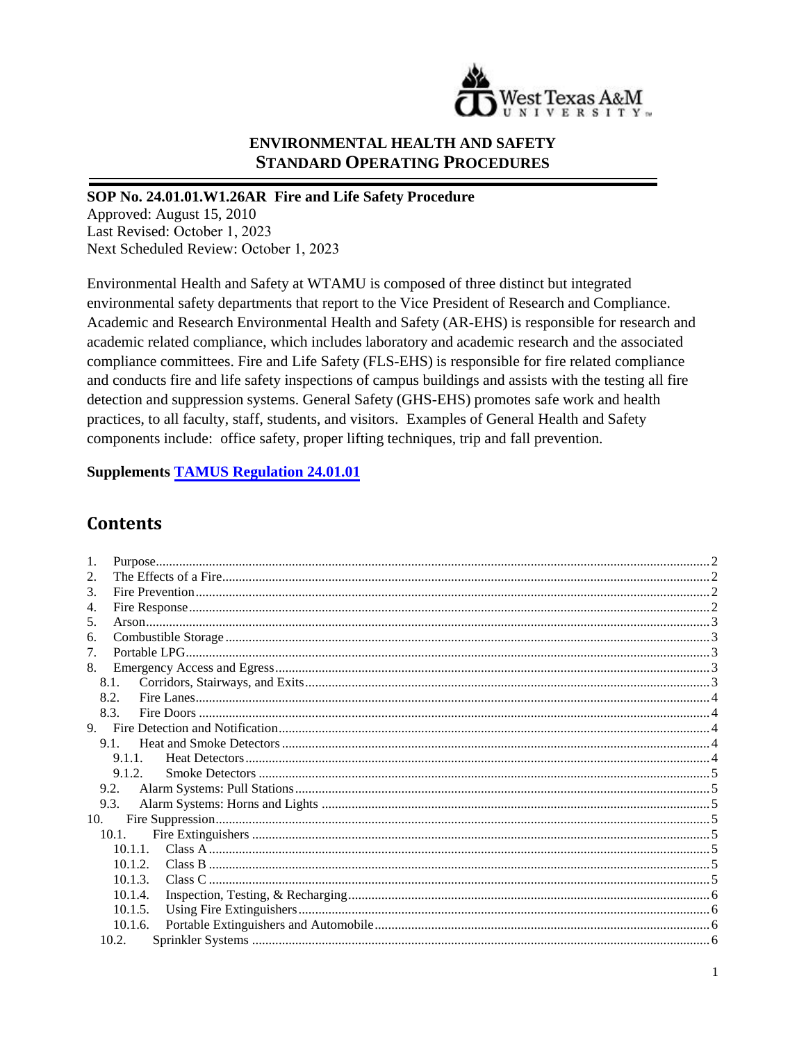

# **ENVIRONMENTAL HEALTH AND SAFETY STANDARD OPERATING PROCEDURES**

### SOP No. 24.01.01.W1.26AR Fire and Life Safety Procedure

Approved: August 15, 2010 Last Revised: October 1, 2023 Next Scheduled Review: October 1, 2023

Environmental Health and Safety at WTAMU is composed of three distinct but integrated environmental safety departments that report to the Vice President of Research and Compliance. Academic and Research Environmental Health and Safety (AR-EHS) is responsible for research and academic related compliance, which includes laboratory and academic research and the associated compliance committees. Fire and Life Safety (FLS-EHS) is responsible for fire related compliance and conducts fire and life safety inspections of campus buildings and assists with the testing all fire detection and suppression systems. General Safety (GHS-EHS) promotes safe work and health practices, to all faculty, staff, students, and visitors. Examples of General Health and Safety components include: office safety, proper lifting techniques, trip and fall prevention.

**Supplements TAMUS Regulation 24.01.01** 

# **Contents**

| 1.                          |  |
|-----------------------------|--|
| 2.                          |  |
| $\mathcal{F}_{\mathcal{L}}$ |  |
| 4.                          |  |
| 5.                          |  |
| 6.                          |  |
| 7.                          |  |
| 8.                          |  |
| 8.1.                        |  |
| 8.2.                        |  |
| 8.3.                        |  |
|                             |  |
| $9.1$ .                     |  |
| 9.1.1                       |  |
| 9.1.2.                      |  |
| 9.2.                        |  |
| 9.3.                        |  |
| 10.                         |  |
| 10.1.                       |  |
|                             |  |
| 10.1.2.                     |  |
| 10.1.3.                     |  |
| 10.1.4.                     |  |
| 10.1.5.                     |  |
| 10.1.6.                     |  |
| 10.2.                       |  |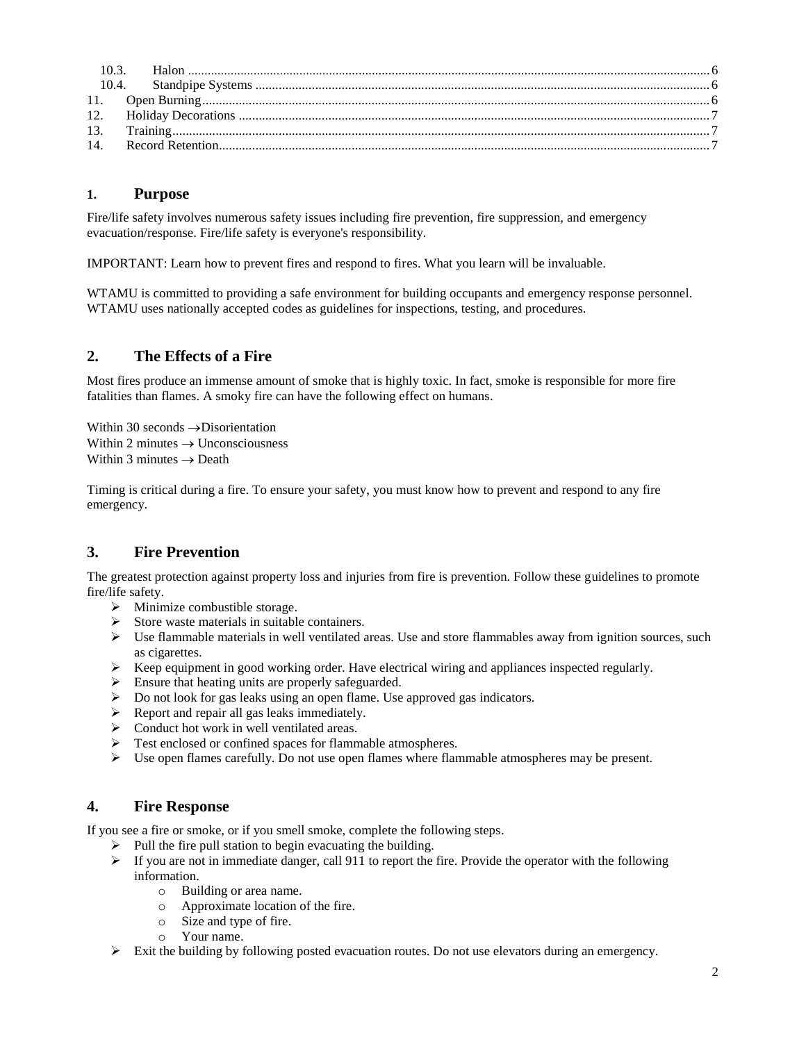### <span id="page-1-0"></span>**1. Purpose**

Fire/life safety involves numerous safety issues including fire prevention, fire suppression, and emergency evacuation/response. Fire/life safety is everyone's responsibility.

IMPORTANT: Learn how to prevent fires and respond to fires. What you learn will be invaluable.

WTAMU is committed to providing a safe environment for building occupants and emergency response personnel. WTAMU uses nationally accepted codes as guidelines for inspections, testing, and procedures.

# <span id="page-1-1"></span>**2. The Effects of a Fire**

Most fires produce an immense amount of smoke that is highly toxic. In fact, smoke is responsible for more fire fatalities than flames. A smoky fire can have the following effect on humans.

Within 30 seconds  $\rightarrow$  Disorientation Within 2 minutes  $\rightarrow$  Unconsciousness Within 3 minutes  $\rightarrow$  Death

Timing is critical during a fire. To ensure your safety, you must know how to prevent and respond to any fire emergency.

# <span id="page-1-2"></span>**3. Fire Prevention**

The greatest protection against property loss and injuries from fire is prevention. Follow these guidelines to promote fire/life safety.

- $\triangleright$  Minimize combustible storage.
- $\triangleright$  Store waste materials in suitable containers.
- $\triangleright$  Use flammable materials in well ventilated areas. Use and store flammables away from ignition sources, such as cigarettes.
- $\triangleright$  Keep equipment in good working order. Have electrical wiring and appliances inspected regularly.
- Ensure that heating units are properly safeguarded.
- Do not look for gas leaks using an open flame. Use approved gas indicators.
- $\triangleright$  Report and repair all gas leaks immediately.
- $\triangleright$  Conduct hot work in well ventilated areas.
- Test enclosed or confined spaces for flammable atmospheres.
- $\triangleright$  Use open flames carefully. Do not use open flames where flammable atmospheres may be present.

### <span id="page-1-3"></span>**4. Fire Response**

If you see a fire or smoke, or if you smell smoke, complete the following steps.

- $\triangleright$  Pull the fire pull station to begin evacuating the building.
- $\triangleright$  If you are not in immediate danger, call 911 to report the fire. Provide the operator with the following information.
	- o Building or area name.
	- o Approximate location of the fire.
	- o Size and type of fire.
	- o Your name.
- $\triangleright$  Exit the building by following posted evacuation routes. Do not use elevators during an emergency.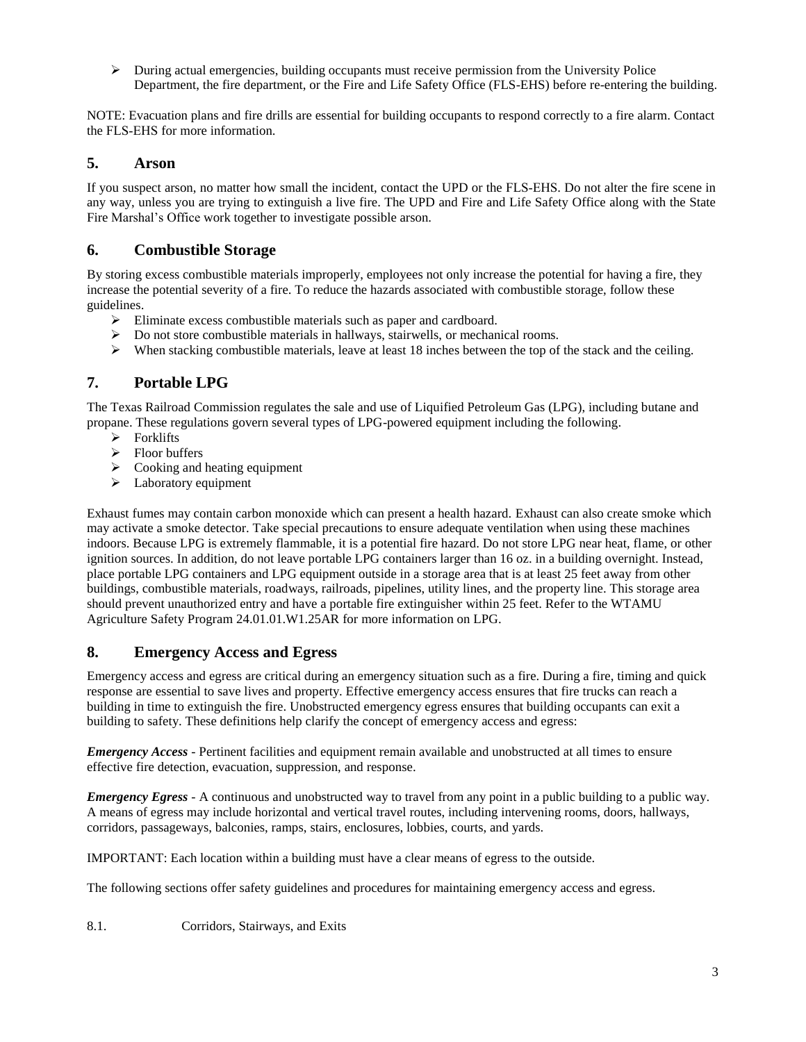$\triangleright$  During actual emergencies, building occupants must receive permission from the University Police Department, the fire department, or the Fire and Life Safety Office (FLS-EHS) before re-entering the building.

NOTE: Evacuation plans and fire drills are essential for building occupants to respond correctly to a fire alarm. Contact the FLS-EHS for more information.

### <span id="page-2-0"></span>**5. Arson**

If you suspect arson, no matter how small the incident, contact the UPD or the FLS-EHS. Do not alter the fire scene in any way, unless you are trying to extinguish a live fire. The UPD and Fire and Life Safety Office along with the State Fire Marshal's Office work together to investigate possible arson.

# <span id="page-2-1"></span>**6. Combustible Storage**

By storing excess combustible materials improperly, employees not only increase the potential for having a fire, they increase the potential severity of a fire. To reduce the hazards associated with combustible storage, follow these guidelines.

- Eliminate excess combustible materials such as paper and cardboard.
- Do not store combustible materials in hallways, stairwells, or mechanical rooms.
- $\triangleright$  When stacking combustible materials, leave at least 18 inches between the top of the stack and the ceiling.

## <span id="page-2-2"></span>**7. Portable LPG**

The Texas Railroad Commission regulates the sale and use of Liquified Petroleum Gas (LPG), including butane and propane. These regulations govern several types of LPG-powered equipment including the following.

- $\triangleright$  Forklifts
- $\triangleright$  Floor buffers
- $\triangleright$  Cooking and heating equipment
- $\blacktriangleright$  Laboratory equipment

Exhaust fumes may contain carbon monoxide which can present a health hazard. Exhaust can also create smoke which may activate a smoke detector. Take special precautions to ensure adequate ventilation when using these machines indoors. Because LPG is extremely flammable, it is a potential fire hazard. Do not store LPG near heat, flame, or other ignition sources. In addition, do not leave portable LPG containers larger than 16 oz. in a building overnight. Instead, place portable LPG containers and LPG equipment outside in a storage area that is at least 25 feet away from other buildings, combustible materials, roadways, railroads, pipelines, utility lines, and the property line. This storage area should prevent unauthorized entry and have a portable fire extinguisher within 25 feet. Refer to the WTAMU Agriculture Safety Program 24.01.01.W1.25AR for more information on LPG.

### <span id="page-2-3"></span>**8. Emergency Access and Egress**

Emergency access and egress are critical during an emergency situation such as a fire. During a fire, timing and quick response are essential to save lives and property. Effective emergency access ensures that fire trucks can reach a building in time to extinguish the fire. Unobstructed emergency egress ensures that building occupants can exit a building to safety. These definitions help clarify the concept of emergency access and egress:

*Emergency Access* - Pertinent facilities and equipment remain available and unobstructed at all times to ensure effective fire detection, evacuation, suppression, and response.

*Emergency Egress* - A continuous and unobstructed way to travel from any point in a public building to a public way. A means of egress may include horizontal and vertical travel routes, including intervening rooms, doors, hallways, corridors, passageways, balconies, ramps, stairs, enclosures, lobbies, courts, and yards.

IMPORTANT: Each location within a building must have a clear means of egress to the outside.

The following sections offer safety guidelines and procedures for maintaining emergency access and egress.

<span id="page-2-4"></span>8.1. Corridors, Stairways, and Exits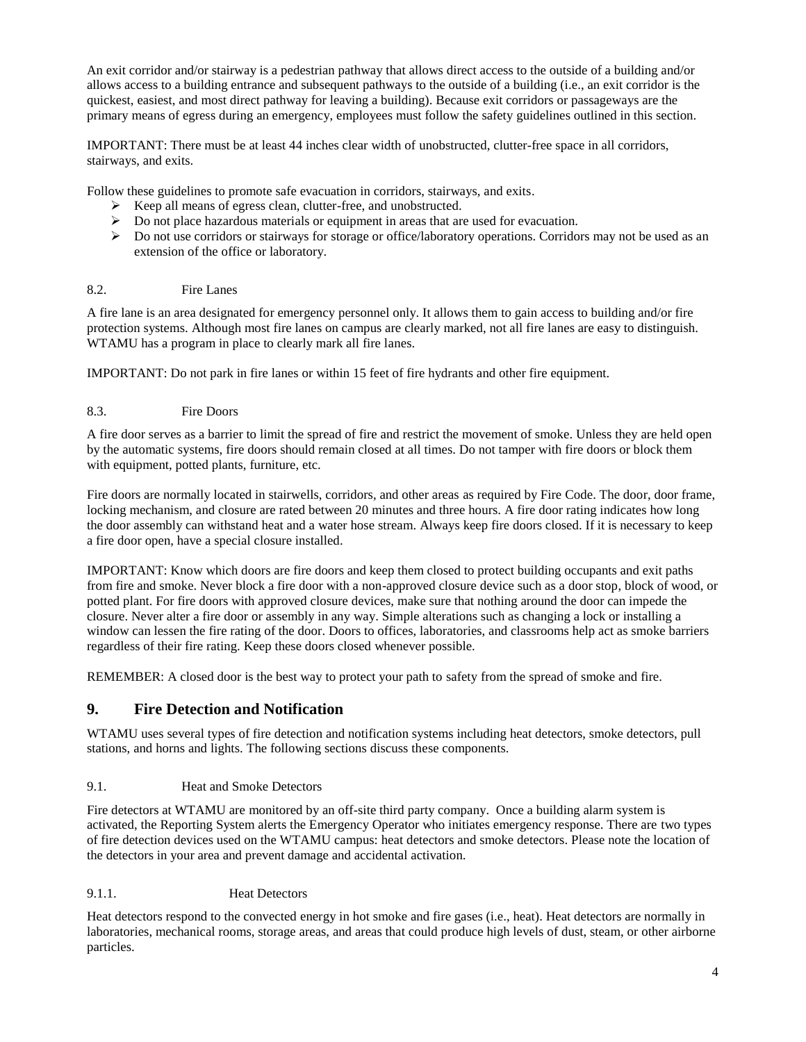An exit corridor and/or stairway is a pedestrian pathway that allows direct access to the outside of a building and/or allows access to a building entrance and subsequent pathways to the outside of a building (i.e., an exit corridor is the quickest, easiest, and most direct pathway for leaving a building). Because exit corridors or passageways are the primary means of egress during an emergency, employees must follow the safety guidelines outlined in this section.

IMPORTANT: There must be at least 44 inches clear width of unobstructed, clutter-free space in all corridors, stairways, and exits.

Follow these guidelines to promote safe evacuation in corridors, stairways, and exits.

- Exercise Reep all means of egress clean, clutter-free, and unobstructed.
- $\triangleright$  Do not place hazardous materials or equipment in areas that are used for evacuation.
- $\triangleright$  Do not use corridors or stairways for storage or office/laboratory operations. Corridors may not be used as an extension of the office or laboratory.

### <span id="page-3-0"></span>8.2. Fire Lanes

A fire lane is an area designated for emergency personnel only. It allows them to gain access to building and/or fire protection systems. Although most fire lanes on campus are clearly marked, not all fire lanes are easy to distinguish. WTAMU has a program in place to clearly mark all fire lanes.

IMPORTANT: Do not park in fire lanes or within 15 feet of fire hydrants and other fire equipment.

<span id="page-3-1"></span>8.3. Fire Doors

A fire door serves as a barrier to limit the spread of fire and restrict the movement of smoke. Unless they are held open by the automatic systems, fire doors should remain closed at all times. Do not tamper with fire doors or block them with equipment, potted plants, furniture, etc.

Fire doors are normally located in stairwells, corridors, and other areas as required by Fire Code. The door, door frame, locking mechanism, and closure are rated between 20 minutes and three hours. A fire door rating indicates how long the door assembly can withstand heat and a water hose stream. Always keep fire doors closed. If it is necessary to keep a fire door open, have a special closure installed.

IMPORTANT: Know which doors are fire doors and keep them closed to protect building occupants and exit paths from fire and smoke. Never block a fire door with a non-approved closure device such as a door stop, block of wood, or potted plant. For fire doors with approved closure devices, make sure that nothing around the door can impede the closure. Never alter a fire door or assembly in any way. Simple alterations such as changing a lock or installing a window can lessen the fire rating of the door. Doors to offices, laboratories, and classrooms help act as smoke barriers regardless of their fire rating. Keep these doors closed whenever possible.

<span id="page-3-2"></span>REMEMBER: A closed door is the best way to protect your path to safety from the spread of smoke and fire.

### **9. Fire Detection and Notification**

WTAMU uses several types of fire detection and notification systems including heat detectors, smoke detectors, pull stations, and horns and lights. The following sections discuss these components.

#### <span id="page-3-3"></span>9.1. Heat and Smoke Detectors

Fire detectors at WTAMU are monitored by an off-site third party company. Once a building alarm system is activated, the Reporting System alerts the Emergency Operator who initiates emergency response. There are two types of fire detection devices used on the WTAMU campus: heat detectors and smoke detectors. Please note the location of the detectors in your area and prevent damage and accidental activation.

#### <span id="page-3-4"></span>9.1.1. Heat Detectors

Heat detectors respond to the convected energy in hot smoke and fire gases (i.e., heat). Heat detectors are normally in laboratories, mechanical rooms, storage areas, and areas that could produce high levels of dust, steam, or other airborne particles.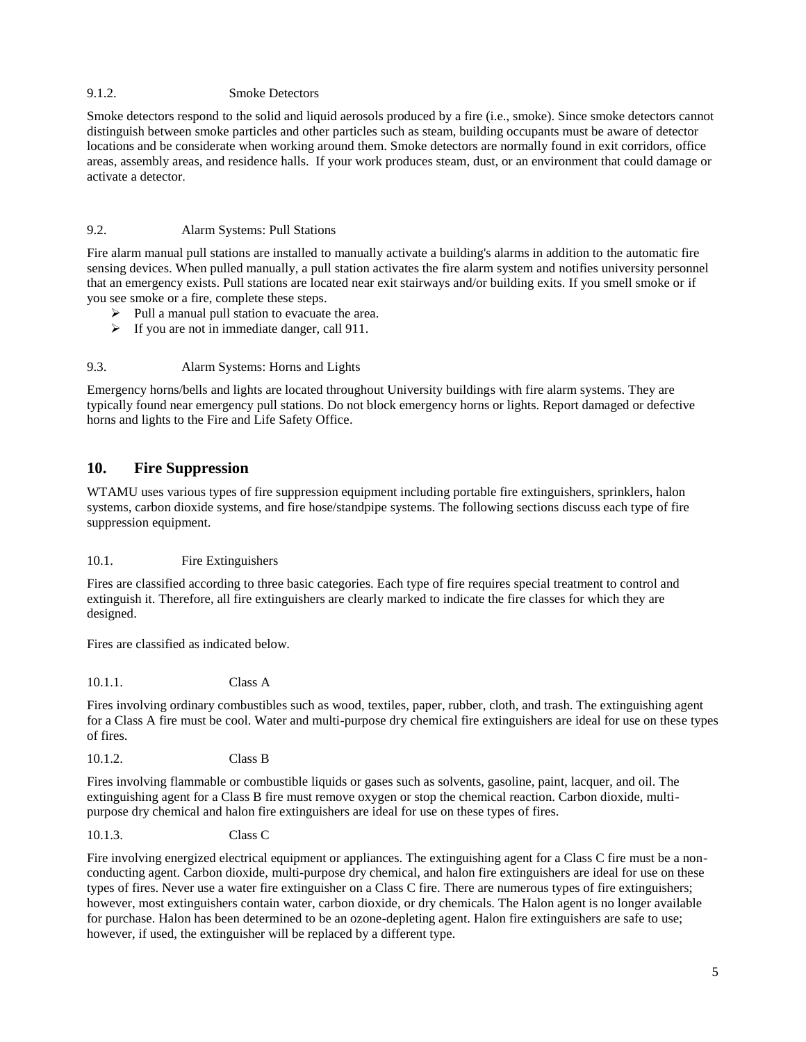#### <span id="page-4-0"></span>9.1.2. Smoke Detectors

Smoke detectors respond to the solid and liquid aerosols produced by a fire (i.e., smoke). Since smoke detectors cannot distinguish between smoke particles and other particles such as steam, building occupants must be aware of detector locations and be considerate when working around them. Smoke detectors are normally found in exit corridors, office areas, assembly areas, and residence halls. If your work produces steam, dust, or an environment that could damage or activate a detector.

### <span id="page-4-1"></span>9.2. Alarm Systems: Pull Stations

Fire alarm manual pull stations are installed to manually activate a building's alarms in addition to the automatic fire sensing devices. When pulled manually, a pull station activates the fire alarm system and notifies university personnel that an emergency exists. Pull stations are located near exit stairways and/or building exits. If you smell smoke or if you see smoke or a fire, complete these steps.

- $\triangleright$  Pull a manual pull station to evacuate the area.
- $\triangleright$  If you are not in immediate danger, call 911.

### <span id="page-4-2"></span>9.3. Alarm Systems: Horns and Lights

Emergency horns/bells and lights are located throughout University buildings with fire alarm systems. They are typically found near emergency pull stations. Do not block emergency horns or lights. Report damaged or defective horns and lights to the Fire and Life Safety Office.

### <span id="page-4-3"></span>**10. Fire Suppression**

WTAMU uses various types of fire suppression equipment including portable fire extinguishers, sprinklers, halon systems, carbon dioxide systems, and fire hose/standpipe systems. The following sections discuss each type of fire suppression equipment.

#### <span id="page-4-4"></span>10.1. Fire Extinguishers

Fires are classified according to three basic categories. Each type of fire requires special treatment to control and extinguish it. Therefore, all fire extinguishers are clearly marked to indicate the fire classes for which they are designed.

Fires are classified as indicated below.

<span id="page-4-5"></span>10.1.1. Class A

Fires involving ordinary combustibles such as wood, textiles, paper, rubber, cloth, and trash. The extinguishing agent for a Class A fire must be cool. Water and multi-purpose dry chemical fire extinguishers are ideal for use on these types of fires.

<span id="page-4-6"></span>10.1.2. Class B

Fires involving flammable or combustible liquids or gases such as solvents, gasoline, paint, lacquer, and oil. The extinguishing agent for a Class B fire must remove oxygen or stop the chemical reaction. Carbon dioxide, multipurpose dry chemical and halon fire extinguishers are ideal for use on these types of fires.

#### <span id="page-4-7"></span>10.1.3. Class C

Fire involving energized electrical equipment or appliances. The extinguishing agent for a Class C fire must be a nonconducting agent. Carbon dioxide, multi-purpose dry chemical, and halon fire extinguishers are ideal for use on these types of fires. Never use a water fire extinguisher on a Class C fire. There are numerous types of fire extinguishers; however, most extinguishers contain water, carbon dioxide, or dry chemicals. The Halon agent is no longer available for purchase. Halon has been determined to be an ozone-depleting agent. Halon fire extinguishers are safe to use; however, if used, the extinguisher will be replaced by a different type.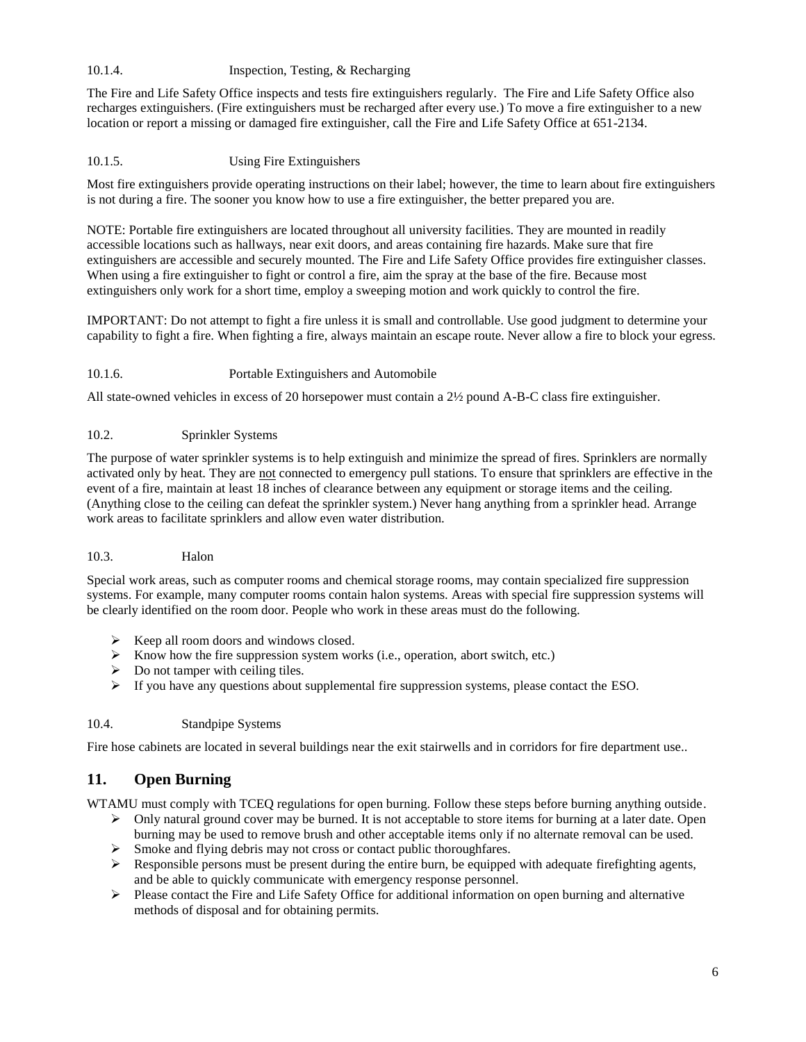#### <span id="page-5-0"></span>10.1.4. Inspection, Testing, & Recharging

The Fire and Life Safety Office inspects and tests fire extinguishers regularly. The Fire and Life Safety Office also recharges extinguishers. (Fire extinguishers must be recharged after every use.) To move a fire extinguisher to a new location or report a missing or damaged fire extinguisher, call the Fire and Life Safety Office at 651-2134.

### <span id="page-5-1"></span>10.1.5. Using Fire Extinguishers

Most fire extinguishers provide operating instructions on their label; however, the time to learn about fire extinguishers is not during a fire. The sooner you know how to use a fire extinguisher, the better prepared you are.

NOTE: Portable fire extinguishers are located throughout all university facilities. They are mounted in readily accessible locations such as hallways, near exit doors, and areas containing fire hazards. Make sure that fire extinguishers are accessible and securely mounted. The Fire and Life Safety Office provides fire extinguisher classes. When using a fire extinguisher to fight or control a fire, aim the spray at the base of the fire. Because most extinguishers only work for a short time, employ a sweeping motion and work quickly to control the fire.

IMPORTANT: Do not attempt to fight a fire unless it is small and controllable. Use good judgment to determine your capability to fight a fire. When fighting a fire, always maintain an escape route. Never allow a fire to block your egress.

#### <span id="page-5-2"></span>10.1.6. Portable Extinguishers and Automobile

All state-owned vehicles in excess of 20 horsepower must contain a 2½ pound A-B-C class fire extinguisher.

#### <span id="page-5-3"></span>10.2. Sprinkler Systems

The purpose of water sprinkler systems is to help extinguish and minimize the spread of fires. Sprinklers are normally activated only by heat. They are not connected to emergency pull stations. To ensure that sprinklers are effective in the event of a fire, maintain at least 18 inches of clearance between any equipment or storage items and the ceiling. (Anything close to the ceiling can defeat the sprinkler system.) Never hang anything from a sprinkler head. Arrange work areas to facilitate sprinklers and allow even water distribution.

#### <span id="page-5-4"></span>10.3. Halon

Special work areas, such as computer rooms and chemical storage rooms, may contain specialized fire suppression systems. For example, many computer rooms contain halon systems. Areas with special fire suppression systems will be clearly identified on the room door. People who work in these areas must do the following.

- $\triangleright$  Keep all room doors and windows closed.
- $\triangleright$  Know how the fire suppression system works (i.e., operation, abort switch, etc.)
- $\triangleright$  Do not tamper with ceiling tiles.
- $\triangleright$  If you have any questions about supplemental fire suppression systems, please contact the ESO.

### <span id="page-5-5"></span>10.4. Standpipe Systems

<span id="page-5-6"></span>Fire hose cabinets are located in several buildings near the exit stairwells and in corridors for fire department use..

### **11. Open Burning**

WTAMU must comply with TCEQ regulations for open burning. Follow these steps before burning anything outside.

- $\triangleright$  Only natural ground cover may be burned. It is not acceptable to store items for burning at a later date. Open burning may be used to remove brush and other acceptable items only if no alternate removal can be used.
- $\triangleright$  Smoke and flying debris may not cross or contact public thoroughfares.
- $\triangleright$  Responsible persons must be present during the entire burn, be equipped with adequate firefighting agents, and be able to quickly communicate with emergency response personnel.
- $\triangleright$  Please contact the Fire and Life Safety Office for additional information on open burning and alternative methods of disposal and for obtaining permits.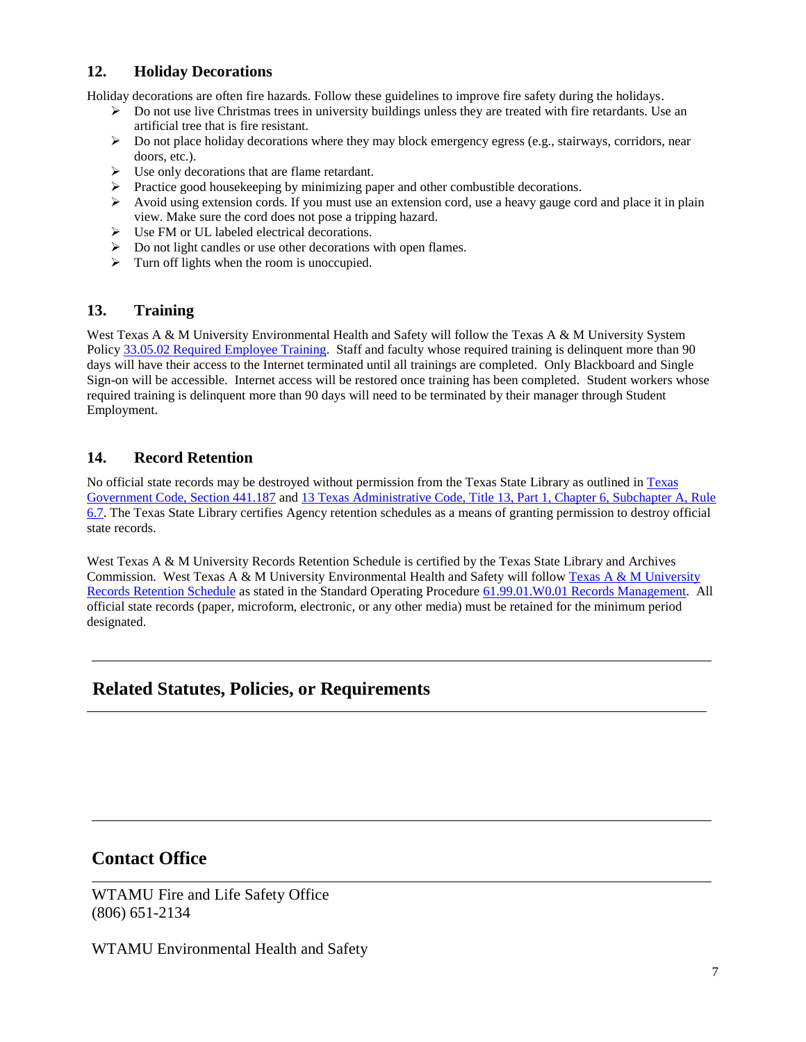# <span id="page-6-0"></span>**12. Holiday Decorations**

Holiday decorations are often fire hazards. Follow these guidelines to improve fire safety during the holidays.

- $\triangleright$  Do not use live Christmas trees in university buildings unless they are treated with fire retardants. Use an artificial tree that is fire resistant.
- $\triangleright$  Do not place holiday decorations where they may block emergency egress (e.g., stairways, corridors, near doors, etc.).
- $\triangleright$  Use only decorations that are flame retardant.
- Practice good housekeeping by minimizing paper and other combustible decorations.
- Avoid using extension cords. If you must use an extension cord, use a heavy gauge cord and place it in plain view. Make sure the cord does not pose a tripping hazard.
- Use FM or UL labeled electrical decorations.
- $\triangleright$  Do not light candles or use other decorations with open flames.
- $\triangleright$  Turn off lights when the room is unoccupied.

### <span id="page-6-1"></span>**13. Training**

West Texas A & M University Environmental Health and Safety will follow the Texas A & M University System Policy [33.05.02 Required Employee Training.](http://policies.tamus.edu/33-05-02.pdf) Staff and faculty whose required training is delinquent more than 90 days will have their access to the Internet terminated until all trainings are completed. Only Blackboard and Single Sign-on will be accessible. Internet access will be restored once training has been completed. Student workers whose required training is delinquent more than 90 days will need to be terminated by their manager through Student Employment.

### <span id="page-6-2"></span>**14. Record Retention**

No official state records may be destroyed without permission from the Texas State Library as outlined i[n Texas](http://www.statutes.legis.state.tx.us/?link=GV)  [Government Code, Section 441.187](http://www.statutes.legis.state.tx.us/?link=GV) and [13 Texas Administrative Code, Title 13, Part 1, Chapter 6, Subchapter A, Rule](http://info.sos.state.tx.us/pls/pub/readtac$ext.TacPage?sl=R&app=9&p_dir=&p_rloc=&p_tloc=&p_ploc=&pg=1&p_tac=&ti=13&pt=1&ch=6&rl=7U)  [6.7.](http://info.sos.state.tx.us/pls/pub/readtac$ext.TacPage?sl=R&app=9&p_dir=&p_rloc=&p_tloc=&p_ploc=&pg=1&p_tac=&ti=13&pt=1&ch=6&rl=7U) The Texas State Library certifies Agency retention schedules as a means of granting permission to destroy official state records.

West Texas A & M University Records Retention Schedule is certified by the Texas State Library and Archives Commission. West Texas A & M University Environmental Health and Safety will follow [Texas A & M University](http://www.wtamu.edu/webres/File/Risk%20Management/System-Records-Retention-Schedule-Dec2012.pdf)  [Records Retention Schedule a](http://www.wtamu.edu/webres/File/Risk%20Management/System-Records-Retention-Schedule-Dec2012.pdf)s stated in the Standard Operating Procedure [61.99.01.W0.01 Records Management.](http://www.wtamu.edu/webres/File/Risk%20Management/61.99.01.W0.01_PROCEDURE_Records%20Management_FINAL%20SIGNED.pdf) All official state records (paper, microform, electronic, or any other media) must be retained for the minimum period designated.

# **Related Statutes, Policies, or Requirements**

# **Contact Office**

WTAMU Fire and Life Safety Office (806) 651-2134

WTAMU Environmental Health and Safety